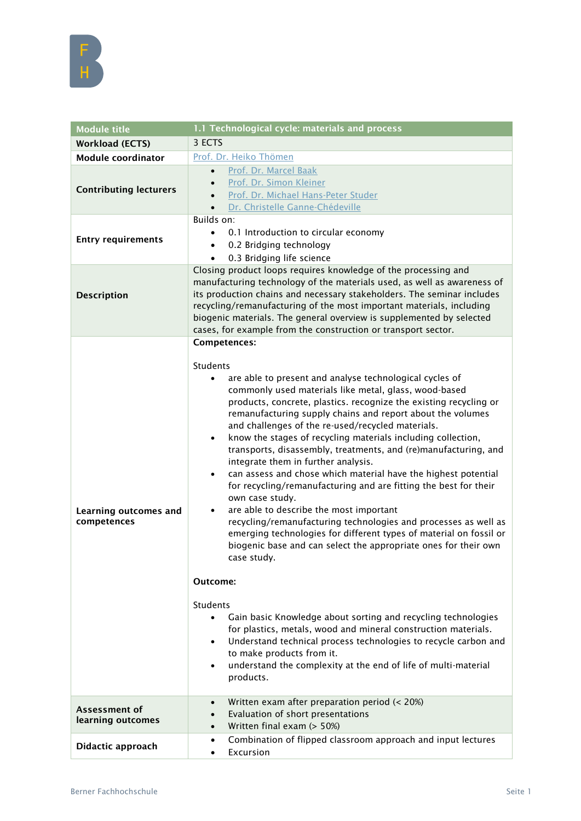

| <b>Module title</b>                  | 1.1 Technological cycle: materials and process                                                                                                                                                                                                                                                                                                                                                                                                                                                                                                                                                                                                                                                                                                                                                                                                                                                                                                                                                                                                                                                                                                                                                                                                                                                                                                                                      |
|--------------------------------------|-------------------------------------------------------------------------------------------------------------------------------------------------------------------------------------------------------------------------------------------------------------------------------------------------------------------------------------------------------------------------------------------------------------------------------------------------------------------------------------------------------------------------------------------------------------------------------------------------------------------------------------------------------------------------------------------------------------------------------------------------------------------------------------------------------------------------------------------------------------------------------------------------------------------------------------------------------------------------------------------------------------------------------------------------------------------------------------------------------------------------------------------------------------------------------------------------------------------------------------------------------------------------------------------------------------------------------------------------------------------------------------|
| <b>Workload (ECTS)</b>               | 3 ECTS                                                                                                                                                                                                                                                                                                                                                                                                                                                                                                                                                                                                                                                                                                                                                                                                                                                                                                                                                                                                                                                                                                                                                                                                                                                                                                                                                                              |
| <b>Module coordinator</b>            | Prof. Dr. Heiko Thömen                                                                                                                                                                                                                                                                                                                                                                                                                                                                                                                                                                                                                                                                                                                                                                                                                                                                                                                                                                                                                                                                                                                                                                                                                                                                                                                                                              |
| <b>Contributing lecturers</b>        | Prof. Dr. Marcel Baak<br>$\bullet$<br>Prof. Dr. Simon Kleiner<br>$\bullet$<br>Prof. Dr. Michael Hans-Peter Studer<br>Dr. Christelle Ganne-Chédeville                                                                                                                                                                                                                                                                                                                                                                                                                                                                                                                                                                                                                                                                                                                                                                                                                                                                                                                                                                                                                                                                                                                                                                                                                                |
| <b>Entry requirements</b>            | Builds on:<br>0.1 Introduction to circular economy<br>0.2 Bridging technology<br>$\bullet$<br>0.3 Bridging life science<br>$\bullet$                                                                                                                                                                                                                                                                                                                                                                                                                                                                                                                                                                                                                                                                                                                                                                                                                                                                                                                                                                                                                                                                                                                                                                                                                                                |
| <b>Description</b>                   | Closing product loops requires knowledge of the processing and<br>manufacturing technology of the materials used, as well as awareness of<br>its production chains and necessary stakeholders. The seminar includes<br>recycling/remanufacturing of the most important materials, including<br>biogenic materials. The general overview is supplemented by selected<br>cases, for example from the construction or transport sector.                                                                                                                                                                                                                                                                                                                                                                                                                                                                                                                                                                                                                                                                                                                                                                                                                                                                                                                                                |
| Learning outcomes and<br>competences | <b>Competences:</b><br><b>Students</b><br>are able to present and analyse technological cycles of<br>commonly used materials like metal, glass, wood-based<br>products, concrete, plastics. recognize the existing recycling or<br>remanufacturing supply chains and report about the volumes<br>and challenges of the re-used/recycled materials.<br>know the stages of recycling materials including collection,<br>$\bullet$<br>transports, disassembly, treatments, and (re)manufacturing, and<br>integrate them in further analysis.<br>can assess and chose which material have the highest potential<br>$\bullet$<br>for recycling/remanufacturing and are fitting the best for their<br>own case study.<br>are able to describe the most important<br>$\bullet$<br>recycling/remanufacturing technologies and processes as well as<br>emerging technologies for different types of material on fossil or<br>biogenic base and can select the appropriate ones for their own<br>case study.<br>Outcome:<br>Students<br>Gain basic Knowledge about sorting and recycling technologies<br>$\bullet$<br>for plastics, metals, wood and mineral construction materials.<br>Understand technical process technologies to recycle carbon and<br>$\bullet$<br>to make products from it.<br>understand the complexity at the end of life of multi-material<br>$\bullet$<br>products. |
| Assessment of<br>learning outcomes   | Written exam after preparation period (< 20%)<br>$\bullet$<br>Evaluation of short presentations<br>$\bullet$<br>Written final exam (> 50%)<br>$\bullet$                                                                                                                                                                                                                                                                                                                                                                                                                                                                                                                                                                                                                                                                                                                                                                                                                                                                                                                                                                                                                                                                                                                                                                                                                             |
| Didactic approach                    | Combination of flipped classroom approach and input lectures<br>$\bullet$<br>Excursion<br>$\bullet$                                                                                                                                                                                                                                                                                                                                                                                                                                                                                                                                                                                                                                                                                                                                                                                                                                                                                                                                                                                                                                                                                                                                                                                                                                                                                 |